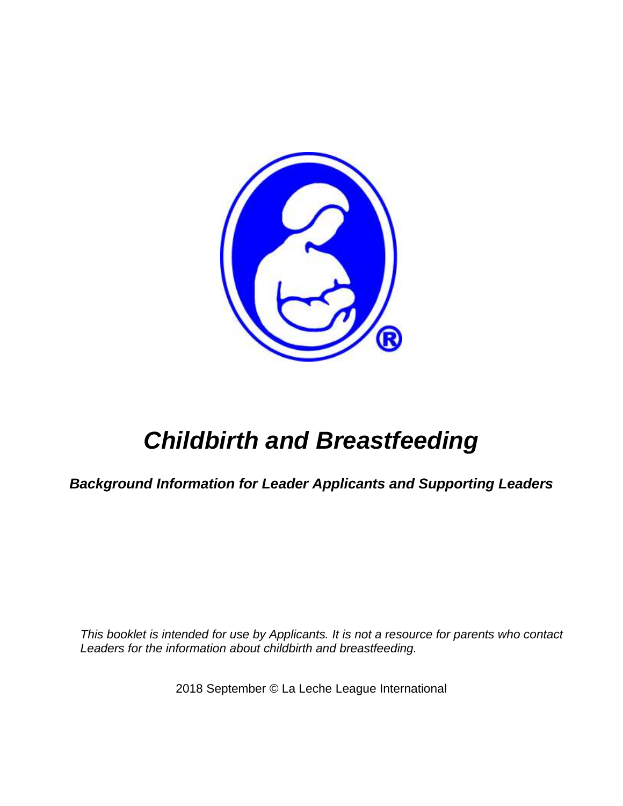

# *Childbirth and Breastfeeding*

*Background Information for Leader Applicants and Supporting Leaders*

*This booklet is intended for use by Applicants. It is not a resource for parents who contact Leaders for the information about childbirth and breastfeeding.*

2018 September © La Leche League International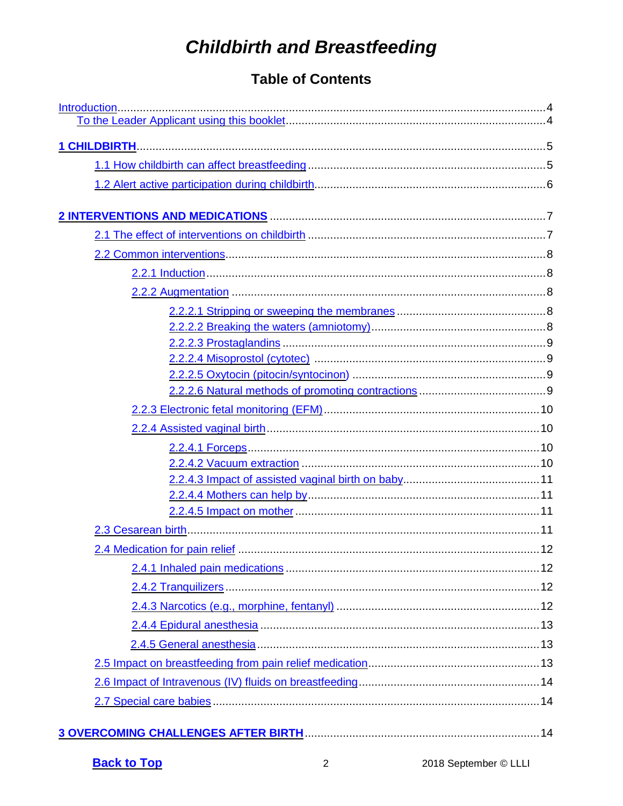# **Childbirth and Breastfeeding**

# <span id="page-1-0"></span>**Table of Contents**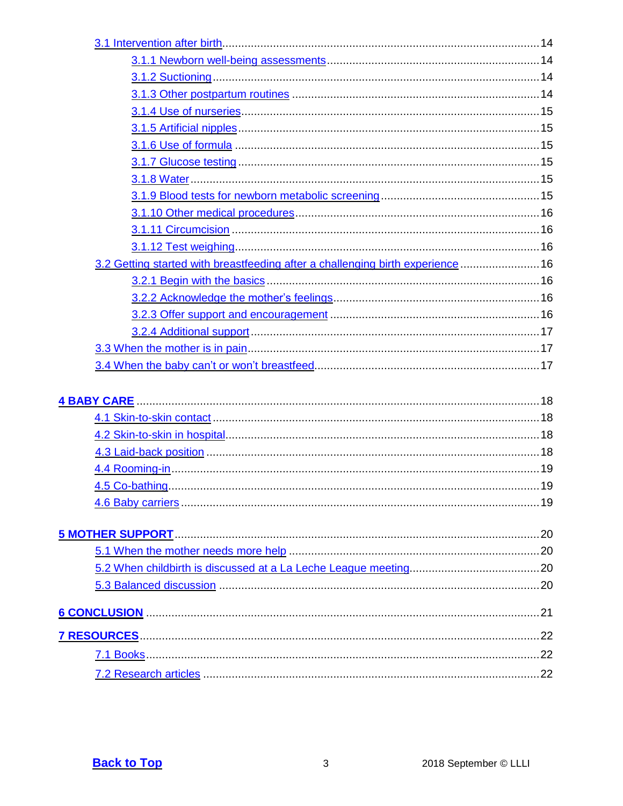| 3.2 Getting started with breastfeeding after a challenging birth experience  16 |    |
|---------------------------------------------------------------------------------|----|
|                                                                                 |    |
|                                                                                 |    |
|                                                                                 |    |
|                                                                                 |    |
|                                                                                 |    |
|                                                                                 |    |
|                                                                                 |    |
|                                                                                 |    |
|                                                                                 |    |
|                                                                                 |    |
|                                                                                 |    |
|                                                                                 |    |
|                                                                                 | 19 |
|                                                                                 |    |
|                                                                                 |    |
|                                                                                 |    |
|                                                                                 |    |
|                                                                                 |    |
|                                                                                 |    |
| 6 CONCLUSION 21 21                                                              |    |
|                                                                                 |    |
|                                                                                 |    |
|                                                                                 |    |
|                                                                                 |    |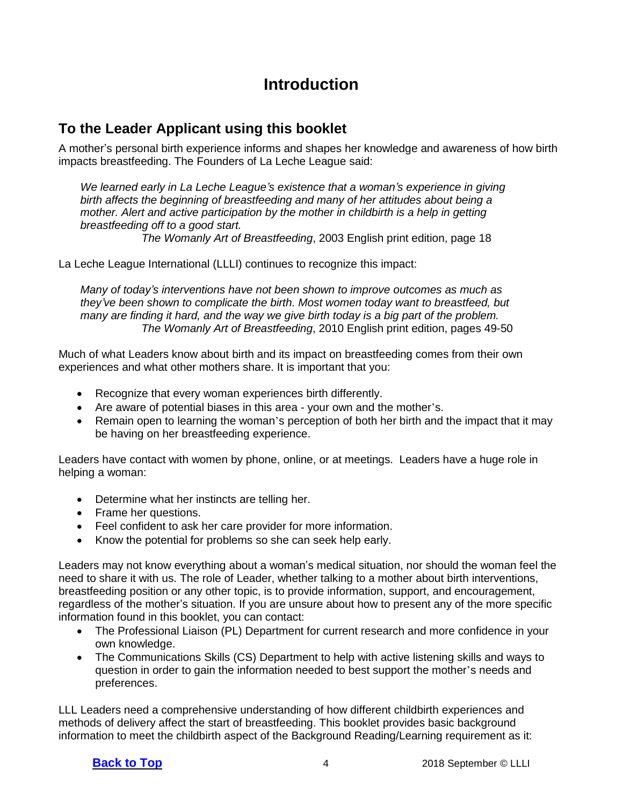# <span id="page-3-0"></span>**Introduction**

# **To the Leader Applicant using this booklet**

A mother's personal birth experience informs and shapes her knowledge and awareness of how birth impacts breastfeeding. The Founders of La Leche League said:

*We learned early in La Leche League's existence that a woman's experience in giving birth affects the beginning of breastfeeding and many of her attitudes about being a mother. Alert and active participation by the mother in childbirth is a help in getting breastfeeding off to a good start.*

*The Womanly Art of Breastfeeding*, 2003 English print edition, page 18

La Leche League International (LLLI) continues to recognize this impact:

*Many of today's interventions have not been shown to improve outcomes as much as they've been shown to complicate the birth. Most women today want to breastfeed, but many are finding it hard, and the way we give birth today is a big part of the problem. The Womanly Art of Breastfeeding*, 2010 English print edition, pages 49-50

Much of what Leaders know about birth and its impact on breastfeeding comes from their own experiences and what other mothers share. It is important that you:

- Recognize that every woman experiences birth differently.
- Are aware of potential biases in this area your own and the mother's.
- Remain open to learning the woman's perception of both her birth and the impact that it may be having on her breastfeeding experience.

Leaders have contact with women by phone, online, or at meetings. Leaders have a huge role in helping a woman:

- Determine what her instincts are telling her.
- Frame her questions.
- Feel confident to ask her care provider for more information.
- Know the potential for problems so she can seek help early.

Leaders may not know everything about a woman's medical situation, nor should the woman feel the need to share it with us. The role of Leader, whether talking to a mother about birth interventions, breastfeeding position or any other topic, is to provide information, support, and encouragement, regardless of the mother's situation. If you are unsure about how to present any of the more specific information found in this booklet, you can contact:

- The Professional Liaison (PL) Department for current research and more confidence in your own knowledge.
- The Communications Skills (CS) Department to help with active listening skills and ways to question in order to gain the information needed to best support the mother's needs and preferences.

LLL Leaders need a comprehensive understanding of how different childbirth experiences and methods of delivery affect the start of breastfeeding. This booklet provides basic background information to meet the childbirth aspect of the Background Reading/Learning requirement as it: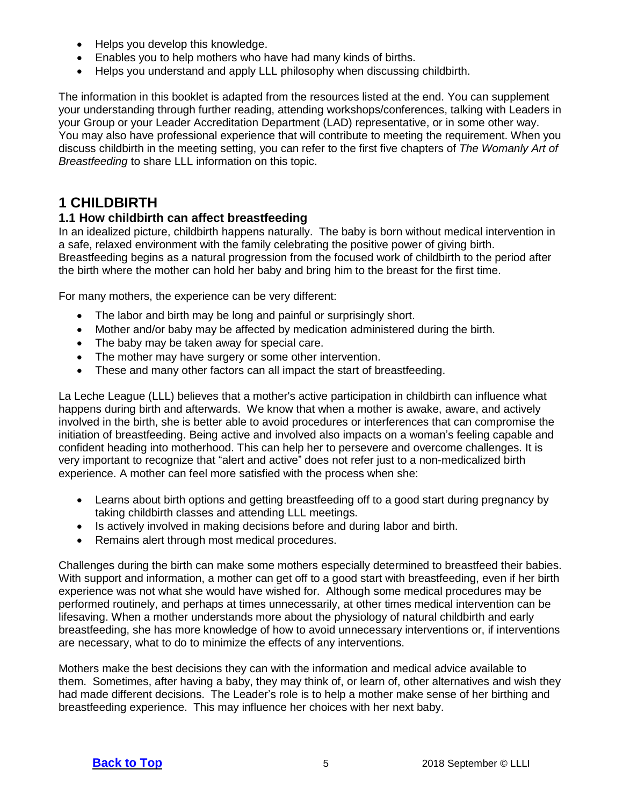- Helps you develop this knowledge.
- Enables you to help mothers who have had many kinds of births.
- Helps you understand and apply LLL philosophy when discussing childbirth.

The information in this booklet is adapted from the resources listed at the end. You can supplement your understanding through further reading, attending workshops/conferences, talking with Leaders in your Group or your Leader Accreditation Department (LAD) representative, or in some other way. You may also have professional experience that will contribute to meeting the requirement. When you discuss childbirth in the meeting setting, you can refer to the first five chapters of *The Womanly Art of Breastfeeding* to share LLL information on this topic.

# <span id="page-4-0"></span>**1 CHILDBIRTH**

#### <span id="page-4-1"></span>**1.1 How childbirth can affect breastfeeding**

In an idealized picture, childbirth happens naturally. The baby is born without medical intervention in a safe, relaxed environment with the family celebrating the positive power of giving birth. Breastfeeding begins as a natural progression from the focused work of childbirth to the period after the birth where the mother can hold her baby and bring him to the breast for the first time.

For many mothers, the experience can be very different:

- The labor and birth may be long and painful or surprisingly short.
- Mother and/or baby may be affected by medication administered during the birth.
- The baby may be taken away for special care.
- The mother may have surgery or some other intervention.
- These and many other factors can all impact the start of breastfeeding.

La Leche League (LLL) believes that a mother's active participation in childbirth can influence what happens during birth and afterwards. We know that when a mother is awake, aware, and actively involved in the birth, she is better able to avoid procedures or interferences that can compromise the initiation of breastfeeding. Being active and involved also impacts on a woman's feeling capable and confident heading into motherhood. This can help her to persevere and overcome challenges. It is very important to recognize that "alert and active" does not refer just to a non-medicalized birth experience. A mother can feel more satisfied with the process when she:

- Learns about birth options and getting breastfeeding off to a good start during pregnancy by taking childbirth classes and attending LLL meetings.
- Is actively involved in making decisions before and during labor and birth.
- Remains alert through most medical procedures.

Challenges during the birth can make some mothers especially determined to breastfeed their babies. With support and information, a mother can get off to a good start with breastfeeding, even if her birth experience was not what she would have wished for. Although some medical procedures may be performed routinely, and perhaps at times unnecessarily, at other times medical intervention can be lifesaving. When a mother understands more about the physiology of natural childbirth and early breastfeeding, she has more knowledge of how to avoid unnecessary interventions or, if interventions are necessary, what to do to minimize the effects of any interventions.

Mothers make the best decisions they can with the information and medical advice available to them. Sometimes, after having a baby, they may think of, or learn of, other alternatives and wish they had made different decisions. The Leader's role is to help a mother make sense of her birthing and breastfeeding experience. This may influence her choices with her next baby.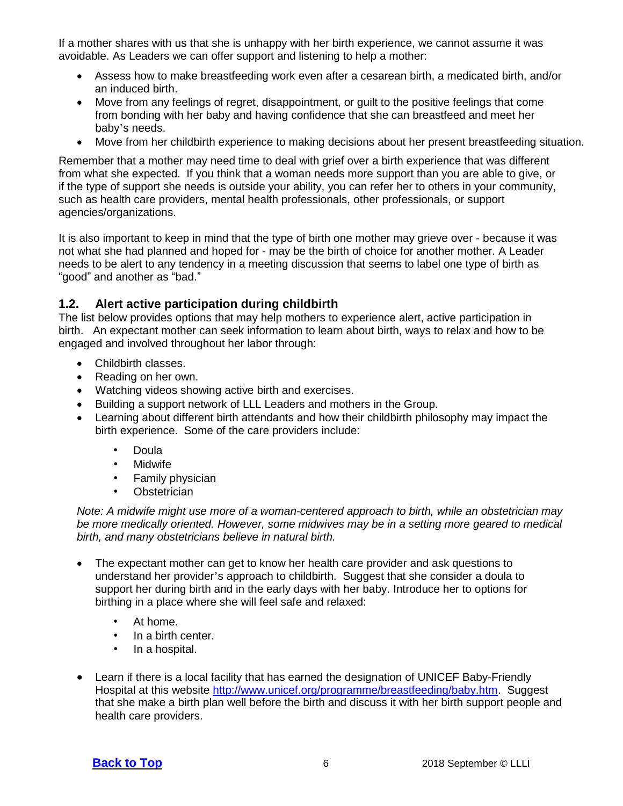If a mother shares with us that she is unhappy with her birth experience, we cannot assume it was avoidable. As Leaders we can offer support and listening to help a mother:

- Assess how to make breastfeeding work even after a cesarean birth, a medicated birth, and/or an induced birth.
- Move from any feelings of regret, disappointment, or guilt to the positive feelings that come from bonding with her baby and having confidence that she can breastfeed and meet her baby's needs.
- Move from her childbirth experience to making decisions about her present breastfeeding situation.

Remember that a mother may need time to deal with grief over a birth experience that was different from what she expected. If you think that a woman needs more support than you are able to give, or if the type of support she needs is outside your ability, you can refer her to others in your community, such as health care providers, mental health professionals, other professionals, or support agencies/organizations.

It is also important to keep in mind that the type of birth one mother may grieve over - because it was not what she had planned and hoped for - may be the birth of choice for another mother. A Leader needs to be alert to any tendency in a meeting discussion that seems to label one type of birth as "good" and another as "bad."

#### <span id="page-5-0"></span>**1.2. Alert active participation during childbirth**

The list below provides options that may help mothers to experience alert, active participation in birth. An expectant mother can seek information to learn about birth, ways to relax and how to be engaged and involved throughout her labor through:

- Childbirth classes.
- Reading on her own.
- Watching videos showing active birth and exercises.
- Building a support network of LLL Leaders and mothers in the Group.
- Learning about different birth attendants and how their childbirth philosophy may impact the birth experience. Some of the care providers include:
	- Doula
	- **Midwife**
	- Family physician
	- Obstetrician

*Note: A midwife might use more of a woman-centered approach to birth, while an obstetrician may be more medically oriented. However, some midwives may be in a setting more geared to medical birth, and many obstetricians believe in natural birth.*

- The expectant mother can get to know her health care provider and ask questions to understand her provider's approach to childbirth. Suggest that she consider a doula to support her during birth and in the early days with her baby. Introduce her to options for birthing in a place where she will feel safe and relaxed:
	- At home.
	- In a birth center.
	- In a hospital.
- Learn if there is a local facility that has earned the designation of UNICEF Baby-Friendly Hospital at this website [http://www.unicef.org/programme/breastfeeding/baby.htm.](http://www.unicef.org/programme/breastfeeding/baby.htm) Suggest that she make a birth plan well before the birth and discuss it with her birth support people and health care providers.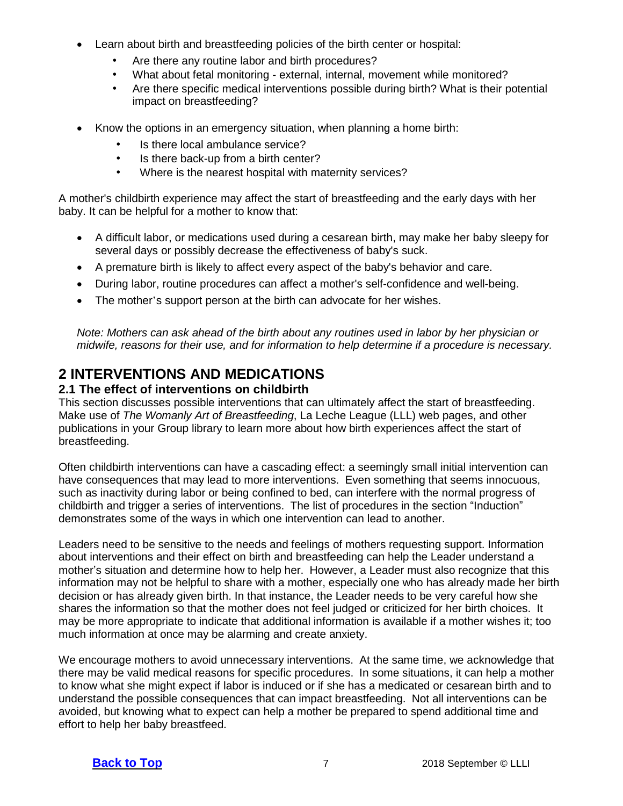- Learn about birth and breastfeeding policies of the birth center or hospital:
	- Are there any routine labor and birth procedures?
	- What about fetal monitoring external, internal, movement while monitored?
	- Are there specific medical interventions possible during birth? What is their potential impact on breastfeeding?
- Know the options in an emergency situation, when planning a home birth:
	- Is there local ambulance service?
	- Is there back-up from a birth center?
	- Where is the nearest hospital with maternity services?

A mother's childbirth experience may affect the start of breastfeeding and the early days with her baby. It can be helpful for a mother to know that:

- A difficult labor, or medications used during a cesarean birth, may make her baby sleepy for several days or possibly decrease the effectiveness of baby's suck.
- A premature birth is likely to affect every aspect of the baby's behavior and care.
- During labor, routine procedures can affect a mother's self-confidence and well-being.
- The mother's support person at the birth can advocate for her wishes.

*Note: Mothers can ask ahead of the birth about any routines used in labor by her physician or midwife, reasons for their use, and for information to help determine if a procedure is necessary.*

# <span id="page-6-0"></span>**2 INTERVENTIONS AND MEDICATIONS**

#### <span id="page-6-1"></span>**2.1 The effect of interventions on childbirth**

This section discusses possible interventions that can ultimately affect the start of breastfeeding. Make use of *The Womanly Art of Breastfeeding*, La Leche League (LLL) web pages, and other publications in your Group library to learn more about how birth experiences affect the start of breastfeeding.

Often childbirth interventions can have a cascading effect: a seemingly small initial intervention can have consequences that may lead to more interventions. Even something that seems innocuous, such as inactivity during labor or being confined to bed, can interfere with the normal progress of childbirth and trigger a series of interventions. The list of procedures in the section "Induction" demonstrates some of the ways in which one intervention can lead to another.

Leaders need to be sensitive to the needs and feelings of mothers requesting support. Information about interventions and their effect on birth and breastfeeding can help the Leader understand a mother's situation and determine how to help her. However, a Leader must also recognize that this information may not be helpful to share with a mother, especially one who has already made her birth decision or has already given birth. In that instance, the Leader needs to be very careful how she shares the information so that the mother does not feel judged or criticized for her birth choices. It may be more appropriate to indicate that additional information is available if a mother wishes it; too much information at once may be alarming and create anxiety.

We encourage mothers to avoid unnecessary interventions. At the same time, we acknowledge that there may be valid medical reasons for specific procedures. In some situations, it can help a mother to know what she might expect if labor is induced or if she has a medicated or cesarean birth and to understand the possible consequences that can impact breastfeeding. Not all interventions can be avoided, but knowing what to expect can help a mother be prepared to spend additional time and effort to help her baby breastfeed.

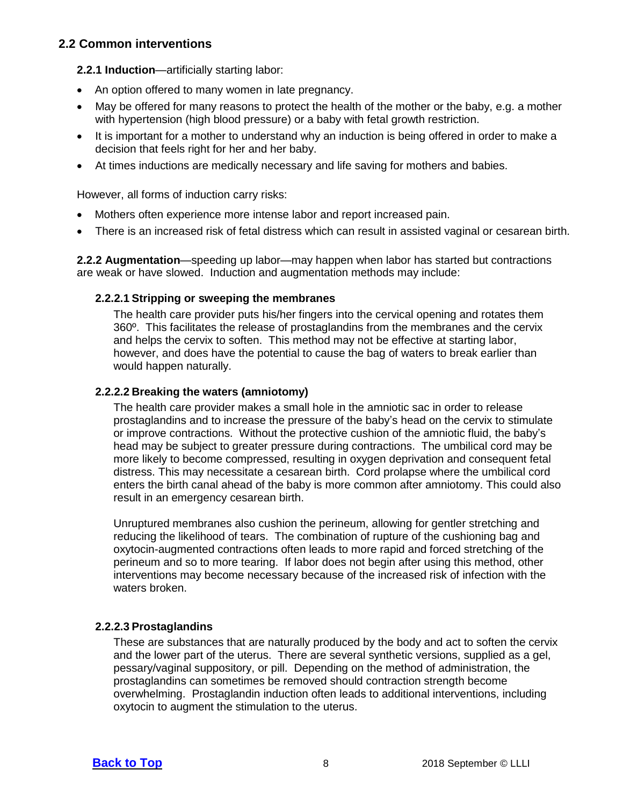#### <span id="page-7-0"></span>**2.2 Common interventions**

<span id="page-7-1"></span>**2.2.1 Induction**—artificially starting labor:

- An option offered to many women in late pregnancy.
- May be offered for many reasons to protect the health of the mother or the baby, e.g. a mother with hypertension (high blood pressure) or a baby with fetal growth restriction.
- It is important for a mother to understand why an induction is being offered in order to make a decision that feels right for her and her baby.
- At times inductions are medically necessary and life saving for mothers and babies.

However, all forms of induction carry risks:

- Mothers often experience more intense labor and report increased pain.
- There is an increased risk of fetal distress which can result in assisted vaginal or cesarean birth.

<span id="page-7-2"></span>**2.2.2 Augmentation***—*speeding up labor—may happen when labor has started but contractions are weak or have slowed. Induction and augmentation methods may include:

#### **2.2.2.1 Stripping or sweeping the membranes**

<span id="page-7-3"></span>The health care provider puts his/her fingers into the cervical opening and rotates them 360º. This facilitates the release of prostaglandins from the membranes and the cervix and helps the cervix to soften. This method may not be effective at starting labor, however, and does have the potential to cause the bag of waters to break earlier than would happen naturally.

#### **2.2.2.2 Breaking the waters (amniotomy)**

<span id="page-7-4"></span>The health care provider makes a small hole in the amniotic sac in order to release prostaglandins and to increase the pressure of the baby's head on the cervix to stimulate or improve contractions. Without the protective cushion of the amniotic fluid, the baby's head may be subject to greater pressure during contractions. The umbilical cord may be more likely to become compressed, resulting in oxygen deprivation and consequent fetal distress. This may necessitate a cesarean birth. Cord prolapse where the umbilical cord enters the birth canal ahead of the baby is more common after amniotomy. This could also result in an emergency cesarean birth.

Unruptured membranes also cushion the perineum, allowing for gentler stretching and reducing the likelihood of tears. The combination of rupture of the cushioning bag and oxytocin-augmented contractions often leads to more rapid and forced stretching of the perineum and so to more tearing. If labor does not begin after using this method, other interventions may become necessary because of the increased risk of infection with the waters broken.

#### **2.2.2.3 Prostaglandins**

<span id="page-7-5"></span>These are substances that are naturally produced by the body and act to soften the cervix and the lower part of the uterus. There are several synthetic versions, supplied as a gel, pessary/vaginal suppository, or pill. Depending on the method of administration, the prostaglandins can sometimes be removed should contraction strength become overwhelming. Prostaglandin induction often leads to additional interventions, including oxytocin to augment the stimulation to the uterus.

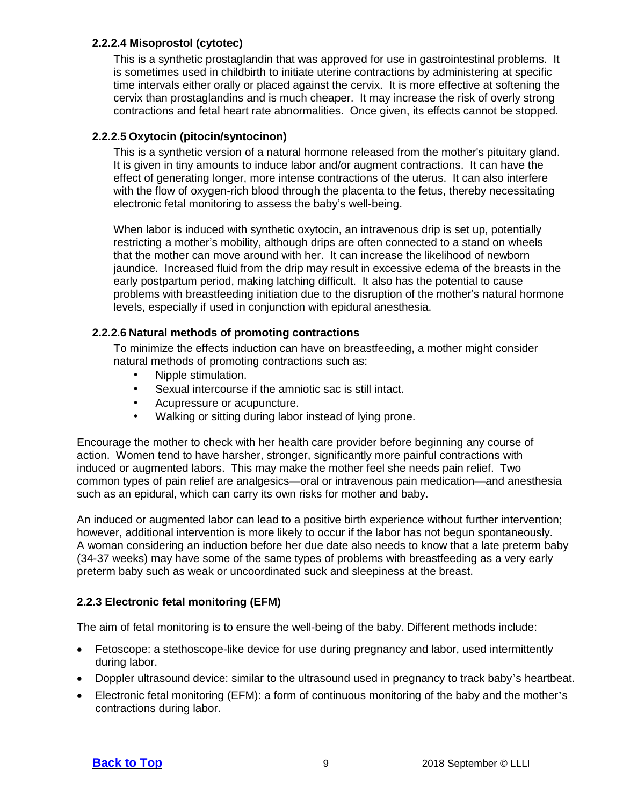#### **2.2.2.4 Misoprostol (cytotec)**

<span id="page-8-0"></span>This is a synthetic prostaglandin that was approved for use in gastrointestinal problems. It is sometimes used in childbirth to initiate uterine contractions by administering at specific time intervals either orally or placed against the cervix. It is more effective at softening the cervix than prostaglandins and is much cheaper. It may increase the risk of overly strong contractions and fetal heart rate abnormalities. Once given, its effects cannot be stopped.

#### **2.2.2.5 Oxytocin (pitocin/syntocinon)**

<span id="page-8-1"></span>This is a synthetic version of a natural hormone released from the mother's pituitary gland. It is given in tiny amounts to induce labor and/or augment contractions. It can have the effect of generating longer, more intense contractions of the uterus. It can also interfere with the flow of oxygen-rich blood through the placenta to the fetus, thereby necessitating electronic fetal monitoring to assess the baby's well-being.

When labor is induced with synthetic oxytocin, an intravenous drip is set up, potentially restricting a mother's mobility, although drips are often connected to a stand on wheels that the mother can move around with her. It can increase the likelihood of newborn jaundice. Increased fluid from the drip may result in excessive edema of the breasts in the early postpartum period, making latching difficult. It also has the potential to cause problems with breastfeeding initiation due to the disruption of the mother's natural hormone levels, especially if used in conjunction with epidural anesthesia.

#### **2.2.2.6 Natural methods of promoting contractions**

<span id="page-8-2"></span>To minimize the effects induction can have on breastfeeding, a mother might consider natural methods of promoting contractions such as:

- Nipple stimulation.
- Sexual intercourse if the amniotic sac is still intact.
- Acupressure or acupuncture.
- Walking or sitting during labor instead of lying prone.

Encourage the mother to check with her health care provider before beginning any course of action. Women tend to have harsher, stronger, significantly more painful contractions with induced or augmented labors. This may make the mother feel she needs pain relief. Two common types of pain relief are analgesics—oral or intravenous pain medication—and anesthesia such as an epidural, which can carry its own risks for mother and baby.

An induced or augmented labor can lead to a positive birth experience without further intervention; however, additional intervention is more likely to occur if the labor has not begun spontaneously. A woman considering an induction before her due date also needs to know that a late preterm baby (34-37 weeks) may have some of the same types of problems with breastfeeding as a very early preterm baby such as weak or uncoordinated suck and sleepiness at the breast.

#### <span id="page-8-3"></span>**2.2.3 Electronic fetal monitoring (EFM)**

The aim of fetal monitoring is to ensure the well-being of the baby. Different methods include:

- Fetoscope: a stethoscope-like device for use during pregnancy and labor, used intermittently during labor.
- Doppler ultrasound device: similar to the ultrasound used in pregnancy to track baby's heartbeat.
- Electronic fetal monitoring (EFM): a form of continuous monitoring of the baby and the mother's contractions during labor.

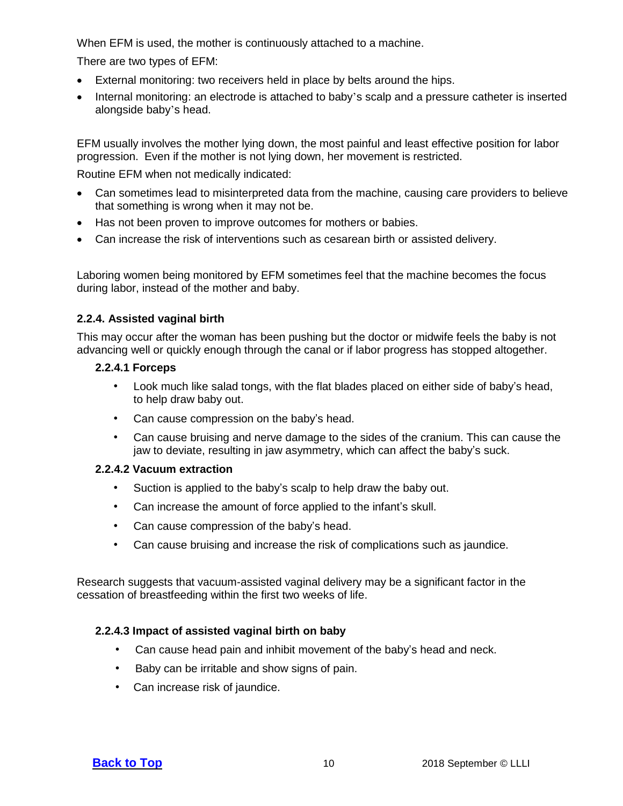When EFM is used, the mother is continuously attached to a machine.

There are two types of EFM:

- External monitoring: two receivers held in place by belts around the hips.
- Internal monitoring: an electrode is attached to baby's scalp and a pressure catheter is inserted alongside baby's head.

EFM usually involves the mother lying down, the most painful and least effective position for labor progression. Even if the mother is not lying down, her movement is restricted.

Routine EFM when not medically indicated:

- Can sometimes lead to misinterpreted data from the machine, causing care providers to believe that something is wrong when it may not be.
- Has not been proven to improve outcomes for mothers or babies.
- Can increase the risk of interventions such as cesarean birth or assisted delivery.

Laboring women being monitored by EFM sometimes feel that the machine becomes the focus during labor, instead of the mother and baby.

#### <span id="page-9-0"></span>**2.2.4. Assisted vaginal birth**

This may occur after the woman has been pushing but the doctor or midwife feels the baby is not advancing well or quickly enough through the canal or if labor progress has stopped altogether.

#### **2.2.4.1 Forceps**

- <span id="page-9-1"></span>• Look much like salad tongs, with the flat blades placed on either side of baby's head, to help draw baby out.
- Can cause compression on the baby's head.
- Can cause bruising and nerve damage to the sides of the cranium. This can cause the jaw to deviate, resulting in jaw asymmetry, which can affect the baby's suck.

#### **2.2.4.2 Vacuum extraction**

- <span id="page-9-2"></span>Suction is applied to the baby's scalp to help draw the baby out.
- Can increase the amount of force applied to the infant's skull.
- Can cause compression of the baby's head.
- Can cause bruising and increase the risk of complications such as jaundice.

Research suggests that vacuum-assisted vaginal delivery may be a significant factor in the cessation of breastfeeding within the first two weeks of life.

#### **2.2.4.3 Impact of assisted vaginal birth on baby**

- <span id="page-9-3"></span>• Can cause head pain and inhibit movement of the baby's head and neck.
- Baby can be irritable and show signs of pain.
- Can increase risk of jaundice.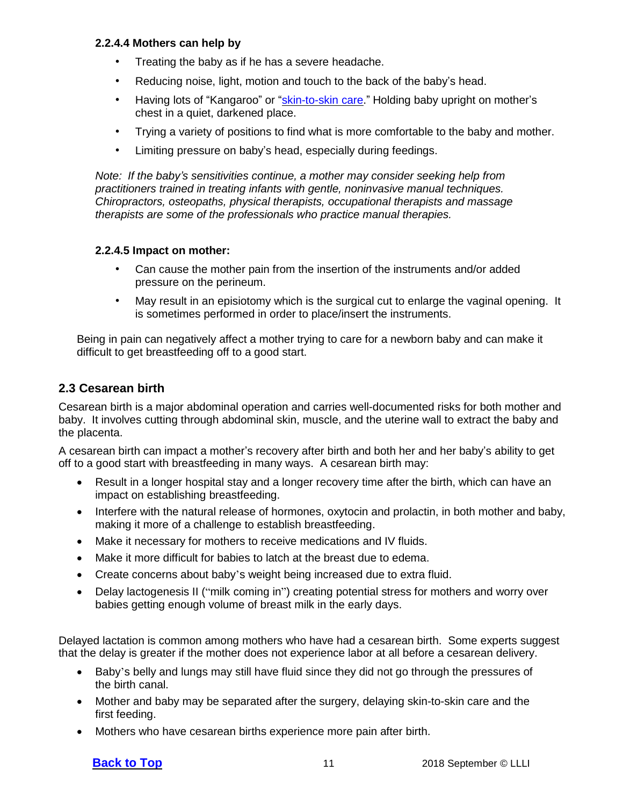#### **2.2.4.4 Mothers can help by**

- <span id="page-10-0"></span>• Treating the baby as if he has a severe headache.
- Reducing noise, light, motion and touch to the back of the baby's head.
- Having lots of "Kangaroo" or ["skin-to-skin](#page-17-1) care." Holding baby upright on mother's chest in a quiet, darkened place.
- Trying a variety of positions to find what is more comfortable to the baby and mother.
- Limiting pressure on baby's head, especially during feedings.

*Note: If the baby's sensitivities continue, a mother may consider seeking help from practitioners trained in treating infants with gentle, noninvasive manual techniques. Chiropractors, osteopaths, physical therapists, occupational therapists and massage therapists are some of the professionals who practice manual therapies.*

#### **2.2.4.5 Impact on mother:**

- <span id="page-10-1"></span>• Can cause the mother pain from the insertion of the instruments and/or added pressure on the perineum.
- May result in an episiotomy which is the surgical cut to enlarge the vaginal opening. It is sometimes performed in order to place/insert the instruments.

Being in pain can negatively affect a mother trying to care for a newborn baby and can make it difficult to get breastfeeding off to a good start.

#### <span id="page-10-2"></span>**2.3 Cesarean birth**

Cesarean birth is a major abdominal operation and carries well-documented risks for both mother and baby. It involves cutting through abdominal skin, muscle, and the uterine wall to extract the baby and the placenta.

A cesarean birth can impact a mother's recovery after birth and both her and her baby's ability to get off to a good start with breastfeeding in many ways. A cesarean birth may:

- Result in a longer hospital stay and a longer recovery time after the birth, which can have an impact on establishing breastfeeding.
- Interfere with the natural release of hormones, oxytocin and prolactin, in both mother and baby, making it more of a challenge to establish breastfeeding.
- Make it necessary for mothers to receive medications and IV fluids.
- Make it more difficult for babies to latch at the breast due to edema.
- Create concerns about baby's weight being increased due to extra fluid.
- Delay lactogenesis II ("milk coming in") creating potential stress for mothers and worry over babies getting enough volume of breast milk in the early days.

Delayed lactation is common among mothers who have had a cesarean birth. Some experts suggest that the delay is greater if the mother does not experience labor at all before a cesarean delivery.

- Baby's belly and lungs may still have fluid since they did not go through the pressures of the birth canal.
- Mother and baby may be separated after the surgery, delaying [skin-to-skin](#page-17-1) care and the first feeding.
- Mothers who have cesarean births experience more pain after birth.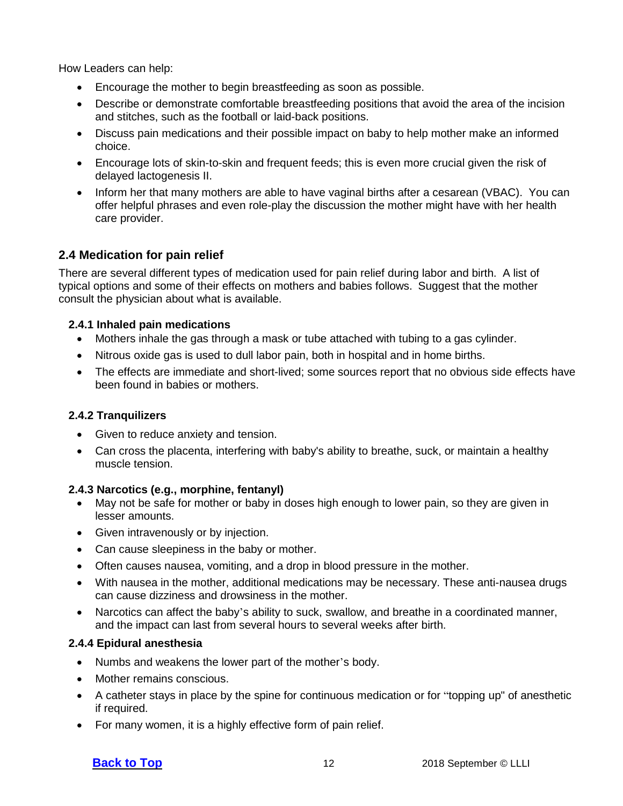How Leaders can help:

- Encourage the mother to begin breastfeeding as soon as possible.
- Describe or demonstrate comfortable breastfeeding positions that avoid the area of the incision and stitches, such as the football or laid-back positions.
- Discuss pain medications and their possible impact on baby to help mother make an informed choice.
- Encourage lots of skin-to-skin and frequent feeds; this is even more crucial given the risk of delayed lactogenesis II.
- Inform her that many mothers are able to have vaginal births after a cesarean (VBAC). You can offer helpful phrases and even role-play the discussion the mother might have with her health care provider.

### <span id="page-11-0"></span>**2.4 Medication for pain relief**

There are several different types of medication used for pain relief during labor and birth. A list of typical options and some of their effects on mothers and babies follows. Suggest that the mother consult the physician about what is available.

#### <span id="page-11-1"></span>**2.4.1 Inhaled pain medications**

- Mothers inhale the gas through a mask or tube attached with tubing to a gas cylinder.
- Nitrous oxide gas is used to dull labor pain, both in hospital and in home births.
- The effects are immediate and short-lived; some sources report that no obvious side effects have been found in babies or mothers.

#### <span id="page-11-2"></span>**2.4.2 Tranquilizers**

- Given to reduce anxiety and tension.
- Can cross the placenta, interfering with baby's ability to breathe, suck, or maintain a healthy muscle tension.

#### <span id="page-11-3"></span>**2.4.3 Narcotics (e.g., morphine, fentanyl)**

- May not be safe for mother or baby in doses high enough to lower pain, so they are given in lesser amounts.
- Given intravenously or by injection.
- Can cause sleepiness in the baby or mother.
- Often causes nausea, vomiting, and a drop in blood pressure in the mother.
- With nausea in the mother, additional medications may be necessary. These anti-nausea drugs can cause dizziness and drowsiness in the mother.
- Narcotics can affect the baby's ability to suck, swallow, and breathe in a coordinated manner, and the impact can last from several hours to several weeks after birth.

#### <span id="page-11-4"></span>**2.4.4 Epidural anesthesia**

- Numbs and weakens the lower part of the mother's body.
- Mother remains conscious.
- A catheter stays in place by the spine for continuous medication or for "topping up" of anesthetic if required.
- For many women, it is a highly effective form of pain relief.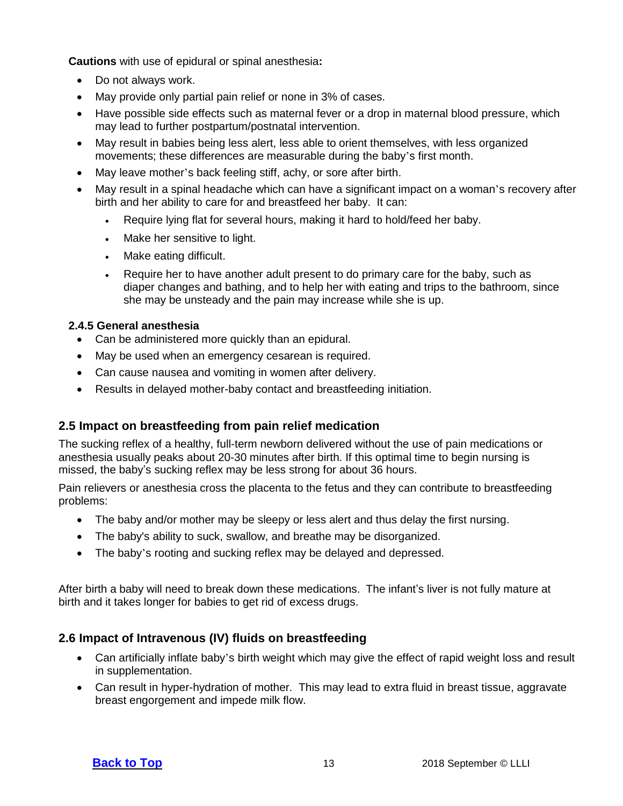**Cautions** with use of epidural or spinal anesthesia**:**

- Do not always work.
- May provide only partial pain relief or none in 3% of cases.
- Have possible side effects such as maternal fever or a drop in maternal blood pressure, which may lead to further postpartum/postnatal intervention.
- May result in babies being less alert, less able to orient themselves, with less organized movements; these differences are measurable during the baby's first month.
- May leave mother's back feeling stiff, achy, or sore after birth.
- May result in a spinal headache which can have a significant impact on a woman's recovery after birth and her ability to care for and breastfeed her baby. It can:
	- Require lying flat for several hours, making it hard to hold/feed her baby.
	- Make her sensitive to light.
	- Make eating difficult.
	- Require her to have another adult present to do primary care for the baby, such as diaper changes and bathing, and to help her with eating and trips to the bathroom, since she may be unsteady and the pain may increase while she is up.

#### <span id="page-12-0"></span>**2.4.5 General anesthesia**

- Can be administered more quickly than an epidural.
- May be used when an emergency cesarean is required.
- Can cause nausea and vomiting in women after delivery.
- Results in delayed mother-baby contact and breastfeeding initiation.

#### <span id="page-12-1"></span>**2.5 Impact on breastfeeding from pain relief medication**

The sucking reflex of a healthy, full-term newborn delivered without the use of pain medications or anesthesia usually peaks about 20-30 minutes after birth. If this optimal time to begin nursing is missed, the baby's sucking reflex may be less strong for about 36 hours.

Pain relievers or anesthesia cross the placenta to the fetus and they can contribute to breastfeeding problems:

- The baby and/or mother may be sleepy or less alert and thus delay the first nursing.
- The baby's ability to suck, swallow, and breathe may be disorganized.
- The baby's rooting and sucking reflex may be delayed and depressed.

After birth a baby will need to break down these medications. The infant's liver is not fully mature at birth and it takes longer for babies to get rid of excess drugs.

#### <span id="page-12-2"></span>**2.6 Impact of Intravenous (IV) fluids on breastfeeding**

- Can artificially inflate baby's birth weight which may give the effect of rapid weight loss and result in supplementation.
- Can result in hyper-hydration of mother. This may lead to extra fluid in breast tissue, aggravate breast engorgement and impede milk flow.

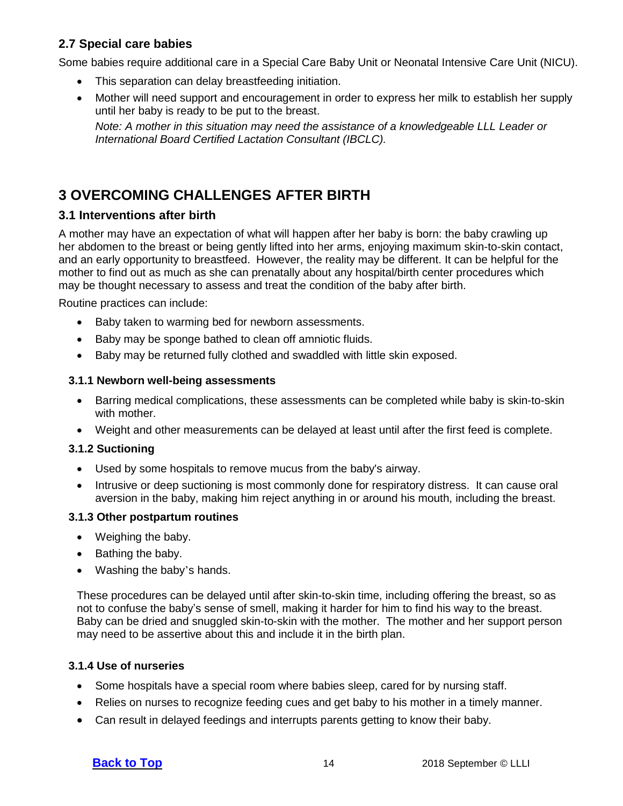### <span id="page-13-0"></span>**2.7 Special care babies**

Some babies require additional care in a Special Care Baby Unit or Neonatal Intensive Care Unit (NICU).

- This separation can delay breastfeeding initiation.
- Mother will need support and encouragement in order to express her milk to establish her supply until her baby is ready to be put to the breast.

*Note: A mother in this situation may need the assistance of a knowledgeable LLL Leader or International Board Certified Lactation Consultant (IBCLC).*

# <span id="page-13-1"></span>**3 OVERCOMING CHALLENGES AFTER BIRTH**

#### <span id="page-13-2"></span>**3.1 Interventions after birth**

A mother may have an expectation of what will happen after her baby is born: the baby crawling up her abdomen to the breast or being gently lifted into her arms, enjoying maximum skin-to-skin contact, and an early opportunity to breastfeed. However, the reality may be different. It can be helpful for the mother to find out as much as she can prenatally about any hospital/birth center procedures which may be thought necessary to assess and treat the condition of the baby after birth.

Routine practices can include:

- Baby taken to warming bed for newborn assessments.
- Baby may be sponge bathed to clean off amniotic fluids.
- <span id="page-13-3"></span>• Baby may be returned fully clothed and swaddled with little skin exposed.

#### **3.1.1 Newborn well-being assessments**

- Barring medical complications, these assessments can be completed while baby is skin-to-skin with mother.
- <span id="page-13-4"></span>• Weight and other measurements can be delayed at least until after the first feed is complete.

#### **3.1.2 Suctioning**

- Used by some hospitals to remove mucus from the baby's airway.
- Intrusive or deep suctioning is most commonly done for respiratory distress. It can cause oral aversion in the baby, making him reject anything in or around his mouth, including the breast.

#### <span id="page-13-5"></span>**3.1.3 Other postpartum routines**

- Weighing the baby.
- Bathing the baby.
- Washing the baby's hands.

These procedures can be delayed until after skin-to-skin time, including offering the breast, so as not to confuse the baby's sense of smell, making it harder for him to find his way to the breast. Baby can be dried and snuggled skin-to-skin with the mother. The mother and her support person may need to be assertive about this and include it in the birth plan.

#### <span id="page-13-6"></span>**3.1.4 Use of nurseries**

- Some hospitals have a special room where babies sleep, cared for by nursing staff.
- Relies on nurses to recognize feeding cues and get baby to his mother in a timely manner.
- Can result in delayed feedings and interrupts parents getting to know their baby.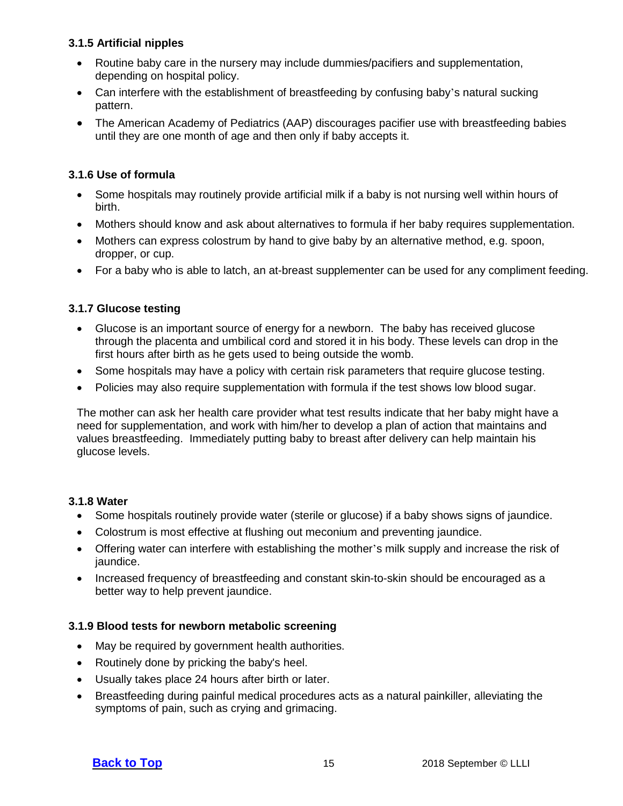#### **3.1.5 Artificial nipples**

- <span id="page-14-0"></span>• Routine baby care in the nursery may include dummies/pacifiers and supplementation, depending on hospital policy.
- Can interfere with the establishment of breastfeeding by confusing baby's natural sucking pattern.
- The American Academy of Pediatrics (AAP) discourages pacifier use with breastfeeding babies until they are one month of age and then only if baby accepts it.

#### **3.1.6 Use of formula**

- <span id="page-14-1"></span>• Some hospitals may routinely provide artificial milk if a baby is not nursing well within hours of birth.
- Mothers should know and ask about alternatives to formula if her baby requires supplementation.
- Mothers can express colostrum by hand to give baby by an alternative method, e.g. spoon, dropper, or cup.
- For a baby who is able to latch, an at-breast supplementer can be used for any compliment feeding.

#### **3.1.7 Glucose testing**

- <span id="page-14-2"></span>• Glucose is an important source of energy for a newborn. The baby has received glucose through the placenta and umbilical cord and stored it in his body. These levels can drop in the first hours after birth as he gets used to being outside the womb.
- Some hospitals may have a policy with certain risk parameters that require glucose testing.
- Policies may also require supplementation with formula if the test shows low blood sugar.

The mother can ask her health care provider what test results indicate that her baby might have a need for supplementation, and work with him/her to develop a plan of action that maintains and values breastfeeding. Immediately putting baby to breast after delivery can help maintain his glucose levels.

#### <span id="page-14-3"></span>**3.1.8 Water**

- Some hospitals routinely provide water (sterile or glucose) if a baby shows signs of jaundice.
- Colostrum is most effective at flushing out meconium and preventing jaundice.
- Offering water can interfere with establishing the mother's milk supply and increase the risk of jaundice.
- Increased frequency of breastfeeding and constant skin-to-skin should be encouraged as a better way to help prevent jaundice.

#### <span id="page-14-4"></span>**3.1.9 Blood tests for newborn metabolic screening**

- May be required by government health authorities.
- Routinely done by pricking the baby's heel.
- Usually takes place 24 hours after birth or later.
- Breastfeeding during painful medical procedures acts as a natural painkiller, alleviating the symptoms of pain, such as crying and grimacing.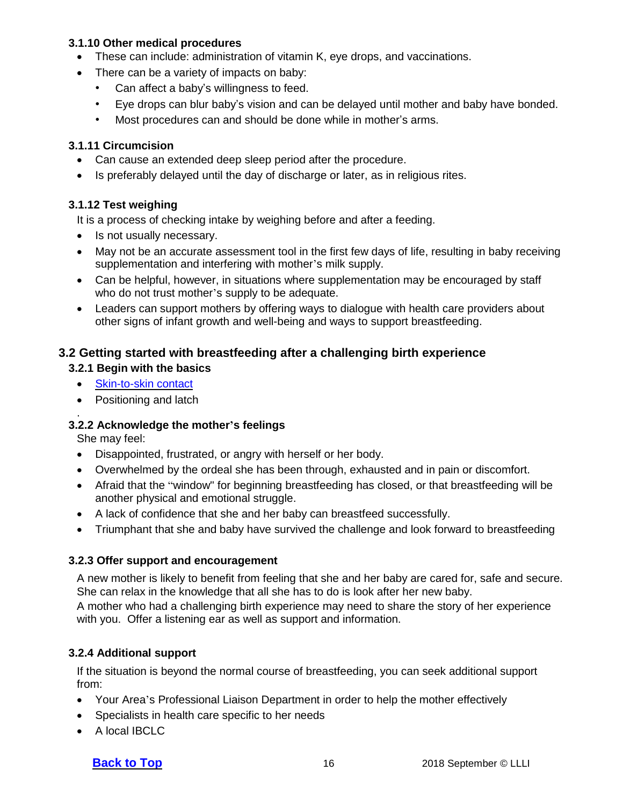#### **3.1.10 Other medical procedures**

- <span id="page-15-0"></span>• These can include: administration of vitamin K, eye drops, and vaccinations.
- There can be a variety of impacts on baby:
	- Can affect a baby's willingness to feed.
	- Eye drops can blur baby's vision and can be delayed until mother and baby have bonded.
	- Most procedures can and should be done while in mother's arms.

#### **3.1.11 Circumcision**

- <span id="page-15-1"></span>• Can cause an extended deep sleep period after the procedure.
- Is preferably delayed until the day of discharge or later, as in religious rites.

#### **3.1.12 Test weighing**

<span id="page-15-2"></span>It is a process of checking intake by weighing before and after a feeding.

- Is not usually necessary.
- May not be an accurate assessment tool in the first few days of life, resulting in baby receiving supplementation and interfering with mother's milk supply.
- Can be helpful, however, in situations where supplementation may be encouraged by staff who do not trust mother's supply to be adequate.
- Leaders can support mothers by offering ways to dialogue with health care providers about other signs of infant growth and well-being and ways to support breastfeeding.

#### **3.2 Getting started with breastfeeding after a challenging birth experience**

#### <span id="page-15-3"></span>**3.2.1 Begin with the basics**

- <span id="page-15-4"></span>• [Skin-to-skin](#page-17-1) contact
- Positioning and latch

#### . **3.2.2 Acknowledge the mother's feelings**

<span id="page-15-5"></span>She may feel:

- Disappointed, frustrated, or angry with herself or her body.
- Overwhelmed by the ordeal she has been through, exhausted and in pain or discomfort.
- Afraid that the "window" for beginning breastfeeding has closed, or that breastfeeding will be another physical and emotional struggle.
- A lack of confidence that she and her baby can breastfeed successfully.
- Triumphant that she and baby have survived the challenge and look forward to breastfeeding

#### **3.2.3 Offer support and encouragement**

<span id="page-15-6"></span>A new mother is likely to benefit from feeling that she and her baby are cared for, safe and secure. She can relax in the knowledge that all she has to do is look after her new baby.

A mother who had a challenging birth experience may need to share the story of her experience with you. Offer a listening ear as well as support and information.

#### <span id="page-15-7"></span>**3.2.4 Additional support**

If the situation is beyond the normal course of breastfeeding, you can seek additional support from:

- Your Area's Professional Liaison Department in order to help the mother effectively
- Specialists in health care specific to her needs
- A local IBCLC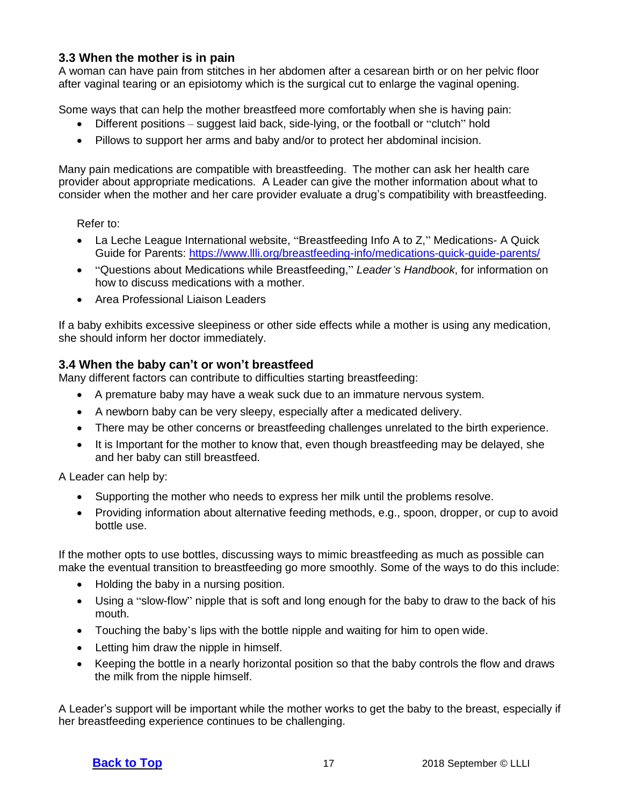#### <span id="page-16-0"></span>**3.3 When the mother is in pain**

A woman can have pain from stitches in her abdomen after a cesarean birth or on her pelvic floor after vaginal tearing or an episiotomy which is the surgical cut to enlarge the vaginal opening.

Some ways that can help the mother breastfeed more comfortably when she is having pain:

- Different positions suggest laid back, side-lying, or the football or "clutch" hold
- Pillows to support her arms and baby and/or to protect her abdominal incision.

Many pain medications are compatible with breastfeeding. The mother can ask her health care provider about appropriate medications. A Leader can give the mother information about what to consider when the mother and her care provider evaluate a drug's compatibility with breastfeeding.

Refer to:

- La Leche League International website, "Breastfeeding Info A to Z," Medications- A Quick Guide for Parents: <https://www.llli.org/breastfeeding-info/medications-quick-guide-parents/>
- "Questions about Medications while Breastfeeding," *Leader's Handbook*, for information on how to discuss medications with a mother.
- Area Professional Liaison Leaders

If a baby exhibits excessive sleepiness or other side effects while a mother is using any medication, she should inform her doctor immediately.

#### <span id="page-16-1"></span>**3.4 When the baby can't or won't breastfeed**

Many different factors can contribute to difficulties starting breastfeeding:

- A premature baby may have a weak suck due to an immature nervous system.
- A newborn baby can be very sleepy, especially after a medicated delivery.
- There may be other concerns or breastfeeding challenges unrelated to the birth experience.
- It is Important for the mother to know that, even though breastfeeding may be delayed, she and her baby can still breastfeed.

A Leader can help by:

- Supporting the mother who needs to express her milk until the problems resolve.
- Providing information about alternative feeding methods, e.g., spoon, dropper, or cup to avoid bottle use.

If the mother opts to use bottles, discussing ways to mimic breastfeeding as much as possible can make the eventual transition to breastfeeding go more smoothly. Some of the ways to do this include:

- Holding the baby in a nursing position.
- Using a "slow-flow" nipple that is soft and long enough for the baby to draw to the back of his mouth.
- Touching the baby's lips with the bottle nipple and waiting for him to open wide.
- Letting him draw the nipple in himself.
- Keeping the bottle in a nearly horizontal position so that the baby controls the flow and draws the milk from the nipple himself.

A Leader's support will be important while the mother works to get the baby to the breast, especially if her breastfeeding experience continues to be challenging.

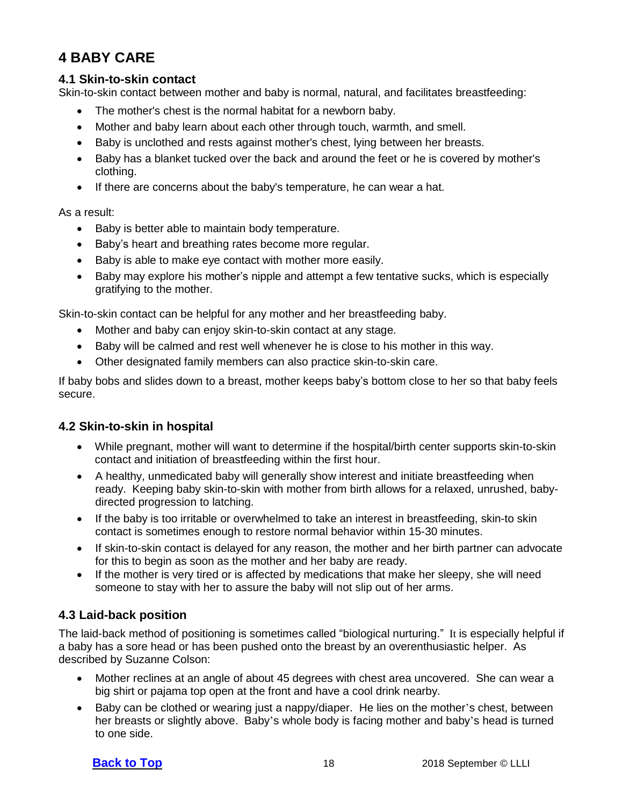# <span id="page-17-0"></span>**4 BABY CARE**

#### <span id="page-17-1"></span>**4.1 Skin-to-skin contact**

Skin-to-skin contact between mother and baby is normal, natural, and facilitates breastfeeding:

- The mother's chest is the normal habitat for a newborn baby.
- Mother and baby learn about each other through touch, warmth, and smell.
- Baby is unclothed and rests against mother's chest, lying between her breasts.
- Baby has a blanket tucked over the back and around the feet or he is covered by mother's clothing.
- If there are concerns about the baby's temperature, he can wear a hat.

As a result:

- Baby is better able to maintain body temperature.
- Baby's heart and breathing rates become more regular.
- Baby is able to make eye contact with mother more easily.
- Baby may explore his mother's nipple and attempt a few tentative sucks, which is especially gratifying to the mother.

Skin-to-skin contact can be helpful for any mother and her breastfeeding baby.

- Mother and baby can enjoy skin-to-skin contact at any stage.
- Baby will be calmed and rest well whenever he is close to his mother in this way.
- Other designated family members can also practice skin-to-skin care.

If baby bobs and slides down to a breast, mother keeps baby's bottom close to her so that baby feels secure.

#### **4.2 Skin-to-skin in hospital**

- <span id="page-17-2"></span>• While pregnant, mother will want to determine if the hospital/birth center supports skin-to-skin contact and initiation of breastfeeding within the first hour.
- A healthy, unmedicated baby will generally show interest and initiate breastfeeding when ready. Keeping baby skin-to-skin with mother from birth allows for a relaxed, unrushed, babydirected progression to latching.
- If the baby is too irritable or overwhelmed to take an interest in breastfeeding, skin-to skin contact is sometimes enough to restore normal behavior within 15-30 minutes.
- If skin-to-skin contact is delayed for any reason, the mother and her birth partner can advocate for this to begin as soon as the mother and her baby are ready.
- If the mother is very tired or is affected by medications that make her sleepy, she will need someone to stay with her to assure the baby will not slip out of her arms.

### <span id="page-17-3"></span>**4.3 Laid-back position**

The laid-back method of positioning is sometimes called "biological nurturing." It is especially helpful if a baby has a sore head or has been pushed onto the breast by an overenthusiastic helper. As described by Suzanne Colson:

- Mother reclines at an angle of about 45 degrees with chest area uncovered. She can wear a big shirt or pajama top open at the front and have a cool drink nearby.
- Baby can be clothed or wearing just a nappy/diaper. He lies on the mother's chest, between her breasts or slightly above. Baby's whole body is facing mother and baby's head is turned to one side.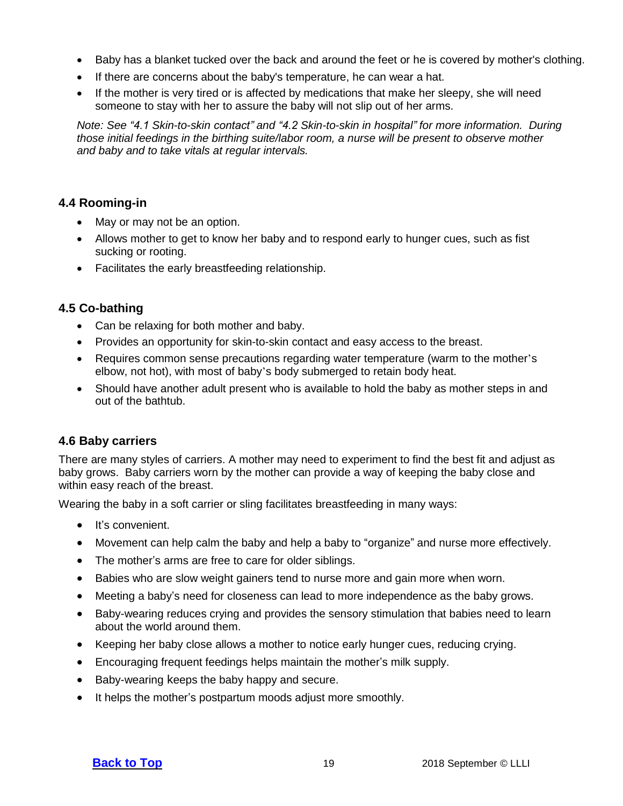- Baby has a blanket tucked over the back and around the feet or he is covered by mother's clothing.
- If there are concerns about the baby's temperature, he can wear a hat.
- If the mother is very tired or is affected by medications that make her sleepy, she will need someone to stay with her to assure the baby will not slip out of her arms.

*Note: See "4.1 Skin-to-skin contact" and "4.2 Skin-to-skin in hospital" for more information. During those initial feedings in the birthing suite/labor room, a nurse will be present to observe mother and baby and to take vitals at regular intervals.*

#### <span id="page-18-0"></span>**4.4 Rooming-in**

- May or may not be an option.
- Allows mother to get to know her baby and to respond early to hunger cues, such as fist sucking or rooting.
- Facilitates the early breastfeeding relationship.

#### **4.5 Co-bathing**

- <span id="page-18-1"></span>• Can be relaxing for both mother and baby.
- Provides an opportunity for skin-to-skin contact and easy access to the breast.
- Requires common sense precautions regarding water temperature (warm to the mother's elbow, not hot), with most of baby's body submerged to retain body heat.
- Should have another adult present who is available to hold the baby as mother steps in and out of the bathtub.

#### <span id="page-18-2"></span>**4.6 Baby carriers**

There are many styles of carriers. A mother may need to experiment to find the best fit and adjust as baby grows. Baby carriers worn by the mother can provide a way of keeping the baby close and within easy reach of the breast.

Wearing the baby in a soft carrier or sling facilitates breastfeeding in many ways:

- It's convenient.
- Movement can help calm the baby and help a baby to "organize" and nurse more effectively.
- The mother's arms are free to care for older siblings.
- Babies who are slow weight gainers tend to nurse more and gain more when worn.
- Meeting a baby's need for closeness can lead to more independence as the baby grows.
- Baby-wearing reduces crying and provides the sensory stimulation that babies need to learn about the world around them.
- Keeping her baby close allows a mother to notice early hunger cues, reducing crying.
- Encouraging frequent feedings helps maintain the mother's milk supply.
- Baby-wearing keeps the baby happy and secure.
- It helps the mother's postpartum moods adjust more smoothly.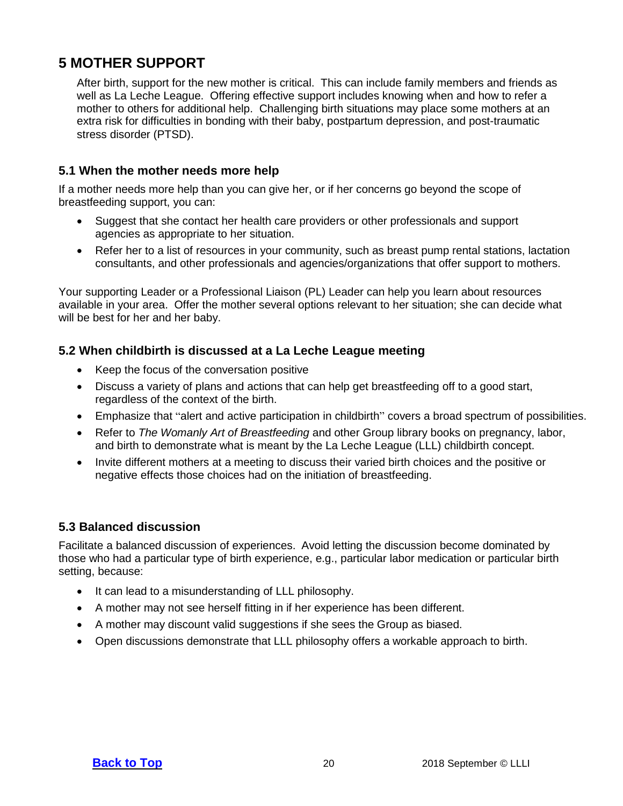# <span id="page-19-0"></span>**5 MOTHER SUPPORT**

After birth, support for the new mother is critical. This can include family members and friends as well as La Leche League. Offering effective support includes knowing when and how to refer a mother to others for additional help. Challenging birth situations may place some mothers at an extra risk for difficulties in bonding with their baby, postpartum depression, and post-traumatic stress disorder (PTSD).

#### <span id="page-19-1"></span>**5.1 When the mother needs more help**

If a mother needs more help than you can give her, or if her concerns go beyond the scope of breastfeeding support, you can:

- Suggest that she contact her health care providers or other professionals and support agencies as appropriate to her situation.
- Refer her to a list of resources in your community, such as breast pump rental stations, lactation consultants, and other professionals and agencies/organizations that offer support to mothers.

Your supporting Leader or a Professional Liaison (PL) Leader can help you learn about resources available in your area. Offer the mother several options relevant to her situation; she can decide what will be best for her and her baby.

#### **5.2 When childbirth is discussed at a La Leche League meeting**

- <span id="page-19-2"></span>• Keep the focus of the conversation positive
- Discuss a variety of plans and actions that can help get breastfeeding off to a good start, regardless of the context of the birth.
- Emphasize that "alert and active participation in childbirth" covers a broad spectrum of possibilities.
- Refer to *The Womanly Art of Breastfeeding* and other Group library books on pregnancy, labor, and birth to demonstrate what is meant by the La Leche League (LLL) childbirth concept.
- Invite different mothers at a meeting to discuss their varied birth choices and the positive or negative effects those choices had on the initiation of breastfeeding.

#### <span id="page-19-3"></span>**5.3 Balanced discussion**

Facilitate a balanced discussion of experiences. Avoid letting the discussion become dominated by those who had a particular type of birth experience, e.g., particular labor medication or particular birth setting, because:

- It can lead to a misunderstanding of LLL philosophy.
- A mother may not see herself fitting in if her experience has been different.
- A mother may discount valid suggestions if she sees the Group as biased.
- Open discussions demonstrate that LLL philosophy offers a workable approach to birth.

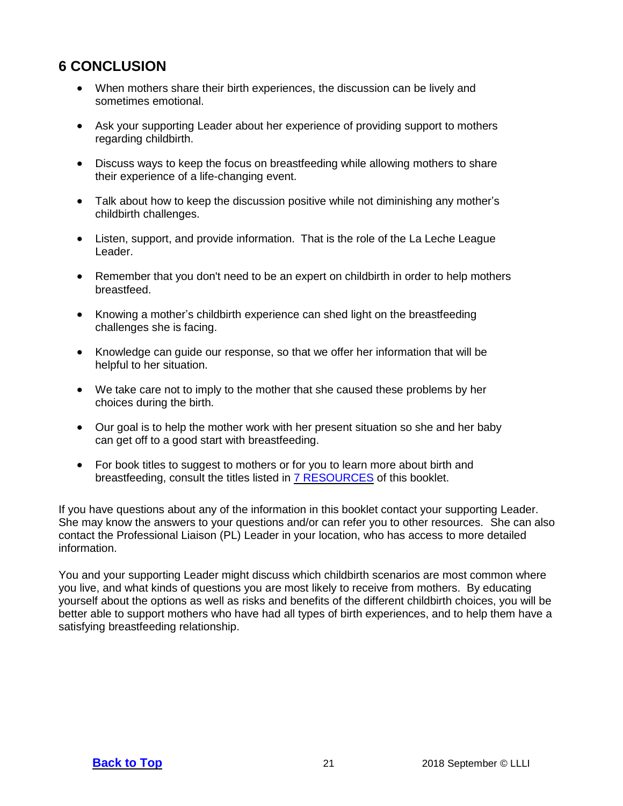# <span id="page-20-0"></span>**6 CONCLUSION**

- When mothers share their birth experiences, the discussion can be lively and sometimes emotional.
- Ask your supporting Leader about her experience of providing support to mothers regarding childbirth.
- Discuss ways to keep the focus on breastfeeding while allowing mothers to share their experience of a life-changing event.
- Talk about how to keep the discussion positive while not diminishing any mother's childbirth challenges.
- Listen, support, and provide information. That is the role of the La Leche League Leader.
- Remember that you don't need to be an expert on childbirth in order to help mothers breastfeed.
- Knowing a mother's childbirth experience can shed light on the breastfeeding challenges she is facing.
- Knowledge can guide our response, so that we offer her information that will be helpful to her situation.
- We take care not to imply to the mother that she caused these problems by her choices during the birth.
- Our goal is to help the mother work with her present situation so she and her baby can get off to a good start with breastfeeding.
- For book titles to suggest to mothers or for you to learn more about birth and breastfeeding, consult the titles listed in 7 [RESOURCES](#page-21-0) of this booklet.

If you have questions about any of the information in this booklet contact your supporting Leader. She may know the answers to your questions and/or can refer you to other resources. She can also contact the Professional Liaison (PL) Leader in your location, who has access to more detailed information.

You and your supporting Leader might discuss which childbirth scenarios are most common where you live, and what kinds of questions you are most likely to receive from mothers. By educating yourself about the options as well as risks and benefits of the different childbirth choices, you will be better able to support mothers who have had all types of birth experiences, and to help them have a satisfying breastfeeding relationship.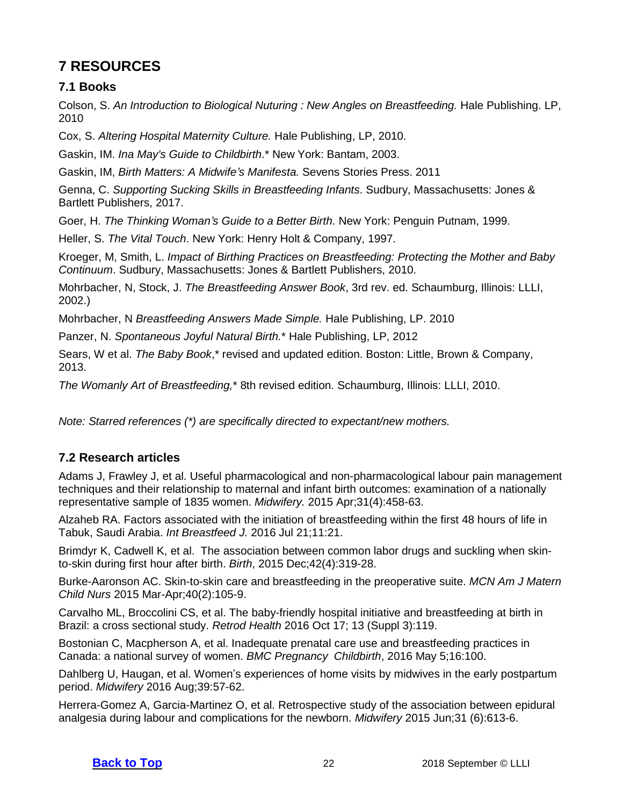# <span id="page-21-0"></span>**7 RESOURCES**

## <span id="page-21-1"></span>**7.1 Books**

Colson, S. *An Introduction to Biological Nuturing : New Angles on Breastfeeding.* Hale Publishing. LP, 2010

Cox, S. *Altering Hospital Maternity Culture.* Hale Publishing, LP, 2010.

Gaskin, IM. *Ina May's Guide to Childbirth*.\* New York: Bantam, 2003.

Gaskin, IM, *Birth Matters: A Midwife's Manifesta.* Sevens Stories Press. 2011

Genna, C. *Supporting Sucking Skills in Breastfeeding Infants*. Sudbury, Massachusetts: Jones & Bartlett Publishers, 2017.

Goer, H. *The Thinking Woman's Guide to a Better Birth*. New York: Penguin Putnam, 1999.

Heller, S. *The Vital Touch*. New York: Henry Holt & Company, 1997.

Kroeger, M, Smith, L. *Impact of Birthing Practices on Breastfeeding: Protecting the Mother and Baby Continuum*. Sudbury, Massachusetts: Jones & Bartlett Publishers, 2010.

Mohrbacher, N, Stock, J. *The Breastfeeding Answer Book*, 3rd rev. ed. Schaumburg, Illinois: LLLI, 2002.)

Mohrbacher, N *Breastfeeding Answers Made Simple.* Hale Publishing, LP. 2010

Panzer, N. *Spontaneous Joyful Natural Birth.*\* Hale Publishing, LP, 2012

Sears, W et al. *The Baby Book*,\* revised and updated edition. Boston: Little, Brown & Company, 2013.

*The Womanly Art of Breastfeeding,*\* 8th revised edition. Schaumburg, Illinois: LLLI, 2010.

*Note: Starred references (\*) are specifically directed to expectant/new mothers.*

## <span id="page-21-2"></span>**7.2 Research articles**

Adams J, Frawley J, et al. Useful pharmacological and non-pharmacological labour pain management techniques and their relationship to maternal and infant birth outcomes: examination of a nationally representative sample of 1835 women. *Midwifery.* 2015 Apr;31(4):458-63.

Alzaheb RA. Factors associated with the initiation of breastfeeding within the first 48 hours of life in Tabuk, Saudi Arabia. *Int Breastfeed J.* 2016 Jul 21;11:21.

Brimdyr K, Cadwell K, et al. The association between common labor drugs and suckling when skinto-skin during first hour after birth. *Birth*, 2015 Dec;42(4):319-28.

Burke-Aaronson AC. Skin-to-skin care and breastfeeding in the preoperative suite. *MCN Am J Matern Child Nurs* 2015 Mar-Apr;40(2):105-9.

Carvalho ML, Broccolini CS, et al. The baby-friendly hospital initiative and breastfeeding at birth in Brazil: a cross sectional study. *Retrod Health* 2016 Oct 17; 13 (Suppl 3):119.

Bostonian C, Macpherson A, et al. Inadequate prenatal care use and breastfeeding practices in Canada: a national survey of women. *BMC Pregnancy Childbirth*, 2016 May 5;16:100.

Dahlberg U, Haugan, et al. Women's experiences of home visits by midwives in the early postpartum period. *Midwifery* 2016 Aug;39:57-62.

Herrera-Gomez A, Garcia-Martinez O, et al. Retrospective study of the association between epidural analgesia during labour and complications for the newborn. *Midwifery* 2015 Jun;31 (6):613-6.